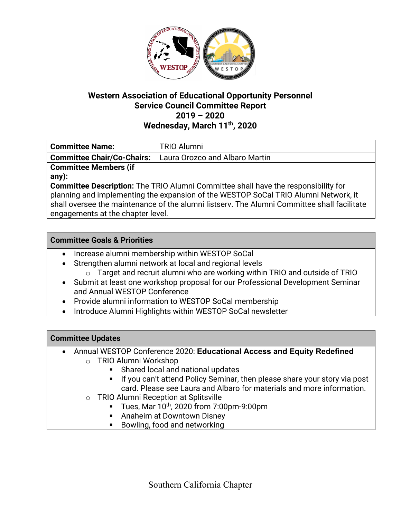

### **Western Association of Educational Opportunity Personnel Service Council Committee Report 2019 – 2020 Wednesday, March 11th, 2020**

| <b>Committee Name:</b>                                                                      | <b>TRIO Alumni</b>             |
|---------------------------------------------------------------------------------------------|--------------------------------|
| <b>Committee Chair/Co-Chairs:</b>                                                           | Laura Orozco and Albaro Martin |
| <b>Committee Members (if</b>                                                                |                                |
| any):                                                                                       |                                |
| <b>Committee Description:</b> The TRIO Alumni Committee shall have the responsibility for   |                                |
| planning and implementing the expansion of the WESTOP SoCal TRIO Alumni Network, it         |                                |
| shall oversee the maintenance of the alumni listsery. The Alumni Committee shall facilitate |                                |

engagements at the chapter level.

#### **Committee Goals & Priorities**

- Increase alumni membership within WESTOP SoCal
- Strengthen alumni network at local and regional levels
	- o Target and recruit alumni who are working within TRIO and outside of TRIO
- Submit at least one workshop proposal for our Professional Development Seminar and Annual WESTOP Conference
- Provide alumni information to WESTOP SoCal membership
- Introduce Alumni Highlights within WESTOP SoCal newsletter

### **Committee Updates**

- Annual WESTOP Conference 2020: **Educational Access and Equity Redefined**
	- o TRIO Alumni Workshop
		- Shared local and national updates
		- If you can't attend Policy Seminar, then please share your story via post card. Please see Laura and Albaro for materials and more information.
	- o TRIO Alumni Reception at Splitsville
		- § Tues, Mar 10th, 2020 from 7:00pm-9:00pm
		- Anaheim at Downtown Disney
		- Bowling, food and networking